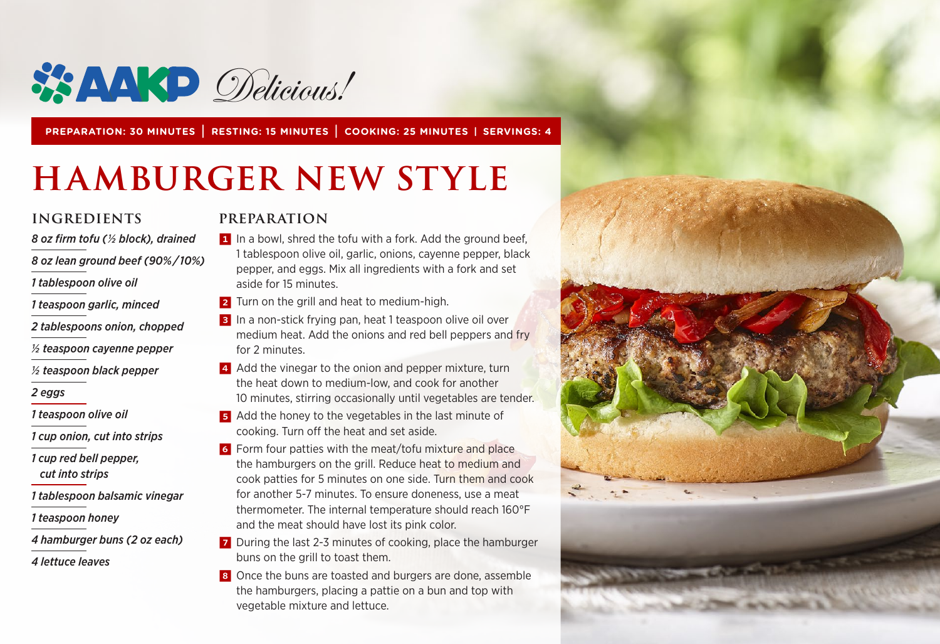

**PREPARATION: 30 MINUTES | RESTING: 15 MINUTES | COOKING: 25 MINUTES | SERVINGS: 4**

# **HAMBURGER NEW STYLE**

#### **INGREDIENTS**

*8 oz firm tofu (1/2 block), drained*

*8 oz lean ground beef (90% / 10%)*

- *1 tablespoon olive oil*
- *1 teaspoon garlic, minced*
- *2 tablespoons onion, chopped*

*½ teaspoon cayenne pepper*

*½ teaspoon black pepper*

#### *2 eggs*

- *1 teaspoon olive oil*
- *1 cup onion, cut into strips*
- *1 cup red bell pepper, cut into strips*
- *1 tablespoon balsamic vinegar*
- *1 teaspoon honey*
- *4 hamburger buns (2 oz each)*
- *4 lettuce leaves*

#### **PREPARATION**

- 1 In a bowl, shred the tofu with a fork. Add the ground beef, 1 tablespoon olive oil, garlic, onions, cayenne pepper, black pepper, and eggs. Mix all ingredients with a fork and set aside for 15 minutes.
- 2 Turn on the grill and heat to medium-high.
- **3** In a non-stick frying pan, heat 1 teaspoon olive oil over medium heat. Add the onions and red bell peppers and fry for 2 minutes.
- 4 Add the vinegar to the onion and pepper mixture, turn the heat down to medium-low, and cook for another 10 minutes, stirring occasionally until vegetables are tender.
- 5 Add the honey to the vegetables in the last minute of cooking. Turn off the heat and set aside.
- 6 Form four patties with the meat/tofu mixture and place the hamburgers on the grill. Reduce heat to medium and cook patties for 5 minutes on one side. Turn them and cook for another 5-7 minutes. To ensure doneness, use a meat thermometer. The internal temperature should reach 160°F and the meat should have lost its pink color.
- **7** During the last 2-3 minutes of cooking, place the hamburger buns on the grill to toast them.
- 8 Once the buns are toasted and burgers are done, assemble the hamburgers, placing a pattie on a bun and top with vegetable mixture and lettuce.